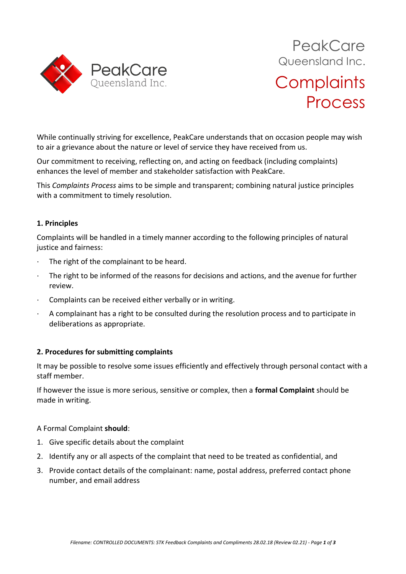

While continually striving for excellence, PeakCare understands that on occasion people may wish to air a grievance about the nature or level of service they have received from us.

Our commitment to receiving, reflecting on, and acting on feedback (including complaints) enhances the level of member and stakeholder satisfaction with PeakCare.

This *Complaints Process* aims to be simple and transparent; combining natural justice principles with a commitment to timely resolution.

# **1. Principles**

Complaints will be handled in a timely manner according to the following principles of natural justice and fairness:

- The right of the complainant to be heard.
- The right to be informed of the reasons for decisions and actions, and the avenue for further review.
- · Complaints can be received either verbally or in writing.
- · A complainant has a right to be consulted during the resolution process and to participate in deliberations as appropriate.

# **2. Procedures for submitting complaints**

It may be possible to resolve some issues efficiently and effectively through personal contact with a staff member.

If however the issue is more serious, sensitive or complex, then a **formal Complaint** should be made in writing.

### A Formal Complaint **should**:

- 1. Give specific details about the complaint
- 2. Identify any or all aspects of the complaint that need to be treated as confidential, and
- 3. Provide contact details of the complainant: name, postal address, preferred contact phone number, and email address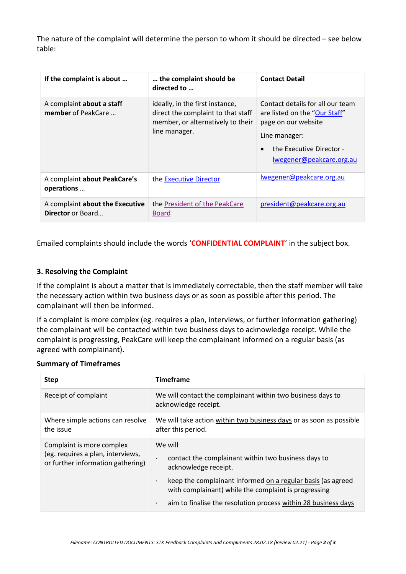The nature of the complaint will determine the person to whom it should be directed – see below table:

| If the complaint is about                                   | the complaint should be<br>directed to                                                                                      | <b>Contact Detail</b>                                                                                                                                             |
|-------------------------------------------------------------|-----------------------------------------------------------------------------------------------------------------------------|-------------------------------------------------------------------------------------------------------------------------------------------------------------------|
| A complaint about a staff<br>member of PeakCare             | ideally, in the first instance,<br>direct the complaint to that staff<br>member, or alternatively to their<br>line manager. | Contact details for all our team<br>are listed on the "Our Staff"<br>page on our website<br>Line manager:<br>the Executive Director -<br>lwegener@peakcare.org.au |
| A complaint about PeakCare's<br>operations                  | the Executive Director                                                                                                      | lwegener@peakcare.org.au                                                                                                                                          |
| A complaint about the Executive<br><b>Director</b> or Board | the President of the PeakCare<br><b>Board</b>                                                                               | president@peakcare.org.au                                                                                                                                         |

Emailed complaints should include the words '**CONFIDENTIAL COMPLAINT**' in the subject box.

## **3. Resolving the Complaint**

If the complaint is about a matter that is immediately correctable, then the staff member will take the necessary action within two business days or as soon as possible after this period. The complainant will then be informed.

If a complaint is more complex (eg. requires a plan, interviews, or further information gathering) the complainant will be contacted within two business days to acknowledge receipt. While the complaint is progressing, PeakCare will keep the complainant informed on a regular basis (as agreed with complainant).

#### **Summary of Timeframes**

| <b>Step</b>                                                                                         | <b>Timeframe</b>                                                                                                                      |  |
|-----------------------------------------------------------------------------------------------------|---------------------------------------------------------------------------------------------------------------------------------------|--|
| Receipt of complaint                                                                                | We will contact the complainant within two business days to<br>acknowledge receipt.                                                   |  |
| Where simple actions can resolve<br>the issue                                                       | We will take action within two business days or as soon as possible<br>after this period.                                             |  |
| Complaint is more complex<br>(eg. requires a plan, interviews,<br>or further information gathering) | We will<br>contact the complainant within two business days to<br>٠<br>acknowledge receipt.                                           |  |
|                                                                                                     | keep the complainant informed on a regular basis (as agreed<br>$\blacksquare$<br>with complainant) while the complaint is progressing |  |
|                                                                                                     | aim to finalise the resolution process within 28 business days<br>$\blacksquare$                                                      |  |